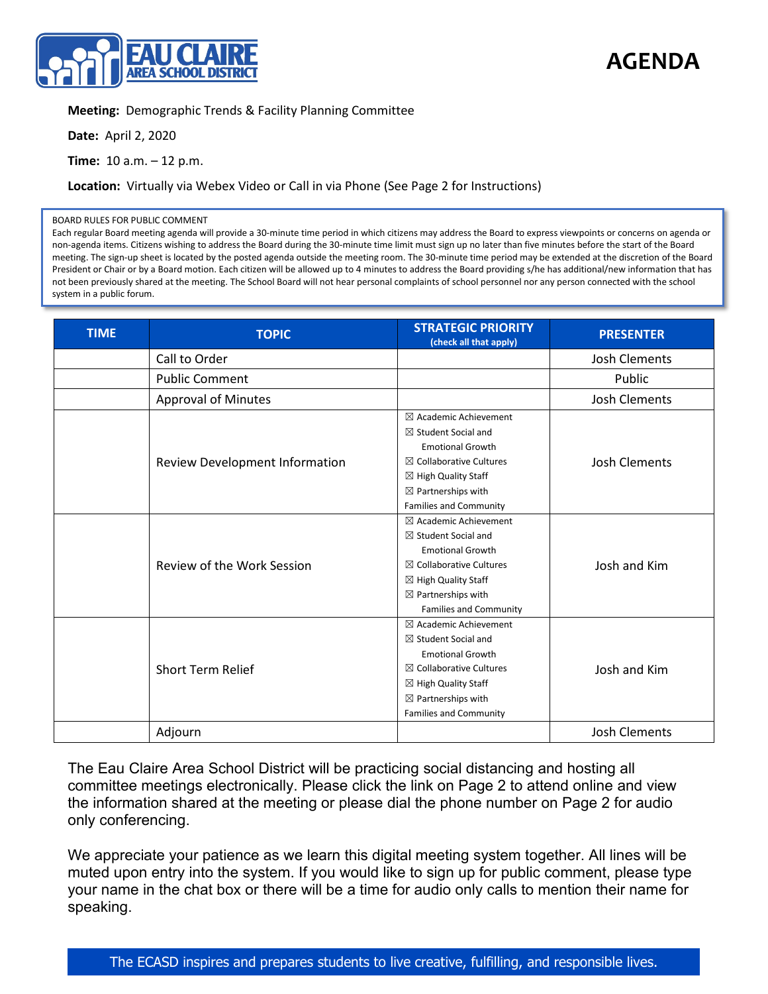

**AGENDA**

## **Meeting:** Demographic Trends & Facility Planning Committee

**Date:** April 2, 2020

**Time:** 10 a.m. – 12 p.m.

**Location:** Virtually via Webex Video or Call in via Phone (See Page 2 for Instructions)

## BOARD RULES FOR PUBLIC COMMENT

Each regular Board meeting agenda will provide a 30-minute time period in which citizens may address the Board to express viewpoints or concerns on agenda or non-agenda items. Citizens wishing to address the Board during the 30-minute time limit must sign up no later than five minutes before the start of the Board meeting. The sign-up sheet is located by the posted agenda outside the meeting room. The 30-minute time period may be extended at the discretion of the Board President or Chair or by a Board motion. Each citizen will be allowed up to 4 minutes to address the Board providing s/he has additional/new information that has not been previously shared at the meeting. The School Board will not hear personal complaints of school personnel nor any person connected with the school system in a public forum.

| <b>TIME</b> | <b>TOPIC</b>                      | <b>STRATEGIC PRIORITY</b><br>(check all that apply)                                                                                                                                                                                     | <b>PRESENTER</b>     |
|-------------|-----------------------------------|-----------------------------------------------------------------------------------------------------------------------------------------------------------------------------------------------------------------------------------------|----------------------|
|             | Call to Order                     |                                                                                                                                                                                                                                         | <b>Josh Clements</b> |
|             | <b>Public Comment</b>             |                                                                                                                                                                                                                                         | Public               |
|             | Approval of Minutes               |                                                                                                                                                                                                                                         | <b>Josh Clements</b> |
|             | Review Development Information    | $\boxtimes$ Academic Achievement<br>$\boxtimes$ Student Social and<br><b>Emotional Growth</b><br>$\boxtimes$ Collaborative Cultures<br>$\boxtimes$ High Quality Staff<br>$\boxtimes$ Partnerships with<br><b>Families and Community</b> | <b>Josh Clements</b> |
|             | <b>Review of the Work Session</b> | $\boxtimes$ Academic Achievement<br>$\boxtimes$ Student Social and<br><b>Emotional Growth</b><br>$\boxtimes$ Collaborative Cultures<br>$\boxtimes$ High Quality Staff<br>$\boxtimes$ Partnerships with<br><b>Families and Community</b> | Josh and Kim         |
|             | Short Term Relief                 | $\boxtimes$ Academic Achievement<br>$\boxtimes$ Student Social and<br><b>Emotional Growth</b><br>$\boxtimes$ Collaborative Cultures<br>$\boxtimes$ High Quality Staff<br>$\boxtimes$ Partnerships with<br><b>Families and Community</b> | Josh and Kim         |
|             | Adjourn                           |                                                                                                                                                                                                                                         | <b>Josh Clements</b> |

The Eau Claire Area School District will be practicing social distancing and hosting all committee meetings electronically. Please click the link on Page 2 to attend online and view the information shared at the meeting or please dial the phone number on Page 2 for audio only conferencing.

We appreciate your patience as we learn this digital meeting system together. All lines will be muted upon entry into the system. If you would like to sign up for public comment, please type your name in the chat box or there will be a time for audio only calls to mention their name for speaking.